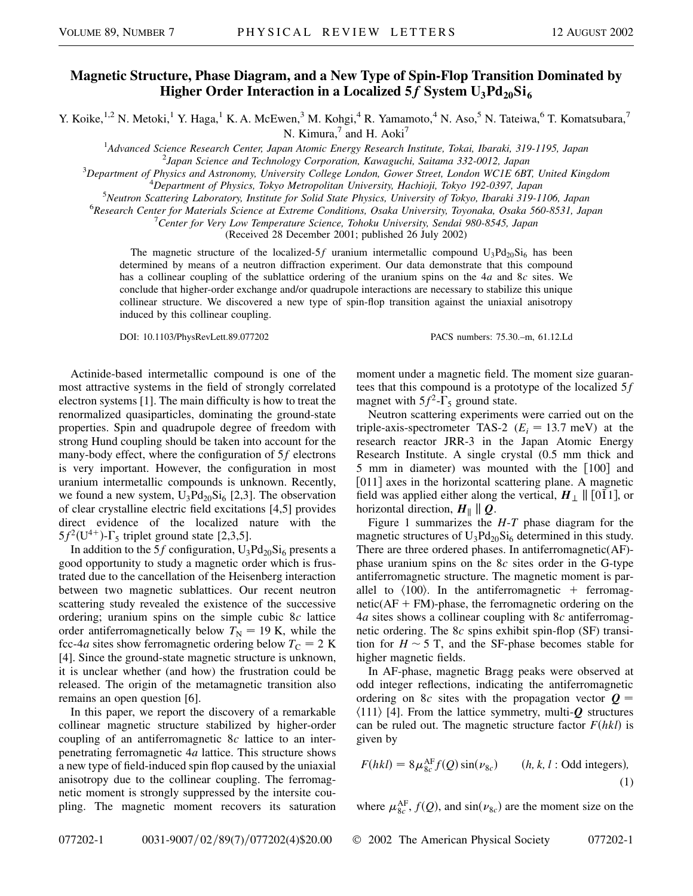## **Magnetic Structure, Phase Diagram, and a New Type of Spin-Flop Transition Dominated by Higher Order Interaction in a Localized 5f System**  $U_3Pd_{20}Si_6$

Y. Koike,<sup>1,2</sup> N. Metoki,<sup>1</sup> Y. Haga,<sup>1</sup> K. A. McEwen,<sup>3</sup> M. Kohgi,<sup>4</sup> R. Yamamoto,<sup>4</sup> N. Aso,<sup>5</sup> N. Tateiwa,<sup>6</sup> T. Komatsubara,<sup>7</sup>

N. Kimura,<sup>7</sup> and H. Aoki<sup>7</sup>

<sup>1</sup> Advanced Science Research Center, Japan Atomic Energy Research Institute, Tokai, Ibaraki, 319-1195, Japan<br><sup>2</sup> Japan Science and Technology Corporation, Kayagyaki, Saitama 332.0012, Japan

*Japan Science and Technology Corporation, Kawaguchi, Saitama 332-0012, Japan* <sup>3</sup>

*Department of Physics and Astronomy, University College London, Gower Street, London WC1E 6BT, United Kingdom* <sup>4</sup>

*Department of Physics, Tokyo Metropolitan University, Hachioji, Tokyo 192-0397, Japan* <sup>5</sup>

*Neutron Scattering Laboratory, Institute for Solid State Physics, University of Tokyo, Ibaraki 319-1106, Japan* <sup>6</sup>

*Research Center for Materials Science at Extreme Conditions, Osaka University, Toyonaka, Osaka 560-8531, Japan* <sup>7</sup>

*Center for Very Low Temperature Science, Tohoku University, Sendai 980-8545, Japan*

(Received 28 December 2001; published 26 July 2002)

The magnetic structure of the localized-5*f* uranium intermetallic compound  $U_3Pd_{20}Si_6$  has been determined by means of a neutron diffraction experiment. Our data demonstrate that this compound has a collinear coupling of the sublattice ordering of the uranium spins on the 4*a* and 8*c* sites. We conclude that higher-order exchange and/or quadrupole interactions are necessary to stabilize this unique collinear structure. We discovered a new type of spin-flop transition against the uniaxial anisotropy induced by this collinear coupling.

DOI: 10.1103/PhysRevLett.89.077202 PACS numbers: 75.30.–m, 61.12.Ld

Actinide-based intermetallic compound is one of the most attractive systems in the field of strongly correlated electron systems [1]. The main difficulty is how to treat the renormalized quasiparticles, dominating the ground-state properties. Spin and quadrupole degree of freedom with strong Hund coupling should be taken into account for the many-body effect, where the configuration of 5*f* electrons is very important. However, the configuration in most uranium intermetallic compounds is unknown. Recently, we found a new system,  $U_3Pd_{20}Si_6$  [2,3]. The observation of clear crystalline electric field excitations [4,5] provides direct evidence of the localized nature with the  $5f^2(U^{4+})$ - $\Gamma_5$  triplet ground state [2,3,5].

In addition to the 5*f* configuration,  $U_3Pd_{20}Si_6$  presents a good opportunity to study a magnetic order which is frustrated due to the cancellation of the Heisenberg interaction between two magnetic sublattices. Our recent neutron scattering study revealed the existence of the successive ordering; uranium spins on the simple cubic 8*c* lattice order antiferromagnetically below  $T<sub>N</sub> = 19$  K, while the fcc-4*a* sites show ferromagnetic ordering below  $T_C = 2$  K [4]. Since the ground-state magnetic structure is unknown, it is unclear whether (and how) the frustration could be released. The origin of the metamagnetic transition also remains an open question [6].

In this paper, we report the discovery of a remarkable collinear magnetic structure stabilized by higher-order coupling of an antiferromagnetic 8*c* lattice to an interpenetrating ferromagnetic 4*a* lattice. This structure shows a new type of field-induced spin flop caused by the uniaxial anisotropy due to the collinear coupling. The ferromagnetic moment is strongly suppressed by the intersite coupling. The magnetic moment recovers its saturation moment under a magnetic field. The moment size guarantees that this compound is a prototype of the localized 5*f* magnet with  $5f^2$ - $\Gamma_5$  ground state.

Neutron scattering experiments were carried out on the triple-axis-spectrometer TAS-2 ( $E_i = 13.7$  meV) at the research reactor JRR-3 in the Japan Atomic Energy Research Institute. A single crystal (0.5 mm thick and 5 mm in diameter) was mounted with the  $\lceil 100 \rceil$  and [011] axes in the horizontal scattering plane. A magnetic field was applied either along the vertical,  $H_{\perp} \parallel [011]$ , or horizontal direction,  $H_{\parallel} \parallel Q$ .

Figure 1 summarizes the *H*-*T* phase diagram for the magnetic structures of  $U_3Pd_{20}Si_6$  determined in this study. There are three ordered phases. In antiferromagnetic(AF) phase uranium spins on the 8*c* sites order in the G-type antiferromagnetic structure. The magnetic moment is parallel to  $\langle 100 \rangle$ . In the antiferromagnetic + ferromag $netic(AF + FM)$ -phase, the ferromagnetic ordering on the 4*a* sites shows a collinear coupling with 8*c* antiferromagnetic ordering. The 8*c* spins exhibit spin-flop (SF) transition for  $H \sim 5$  T, and the SF-phase becomes stable for higher magnetic fields.

In AF-phase, magnetic Bragg peaks were observed at odd integer reflections, indicating the antiferromagnetic ordering on 8*c* sites with the propagation vector  $Q =$  $\langle 111 \rangle$  [4]. From the lattice symmetry, multi-*Q* structures can be ruled out. The magnetic structure factor  $F(hkl)$  is given by

$$
F(hkl) = 8\mu_{8c}^{\text{AF}}f(Q)\sin(\nu_{8c}) \qquad (h, k, l: \text{Odd integers}),
$$
  
(1)

where  $\mu_{8c}^{\text{AF}}, f(Q)$ , and  $\sin(\nu_{8c})$  are the moment size on the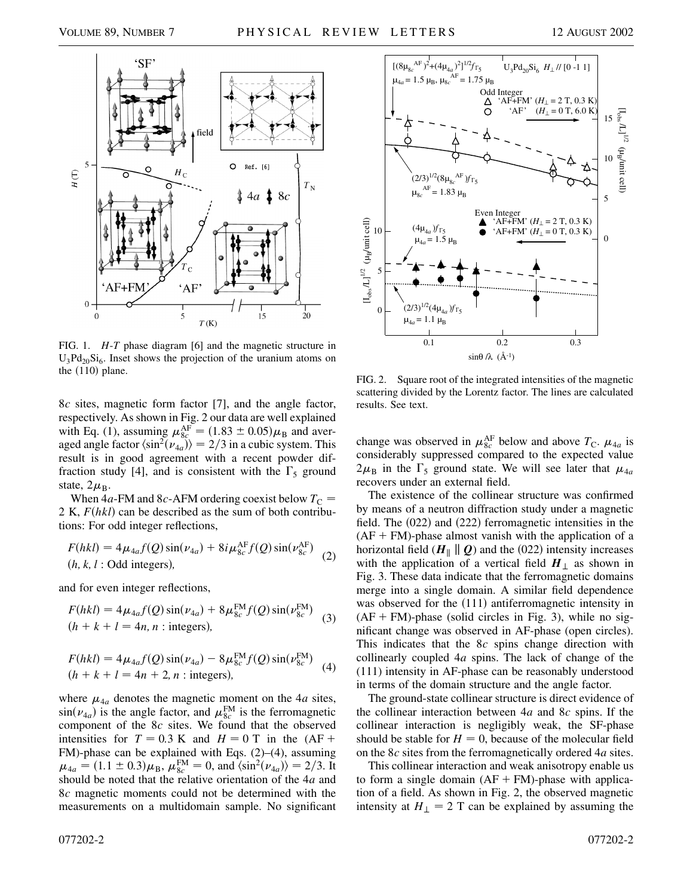

FIG. 1. *H*-*T* phase diagram [6] and the magnetic structure in  $U_3Pd_{20}Si_6$ . Inset shows the projection of the uranium atoms on the  $(110)$  plane.

8*c* sites, magnetic form factor [7], and the angle factor, respectively. As shown in Fig. 2 our data are well explained with Eq. (1), assuming  $\mu_{8c}^{\text{AF}} = (1.83 \pm 0.05) \mu_{\text{B}}$  and averaged angle factor  $\langle \sin^2(\nu_{4a}) \rangle = 2/3$  in a cubic system. This result is in good agreement with a recent powder diffraction study [4], and is consistent with the  $\Gamma_5$  ground state,  $2\mu_B$ .

When  $4a$ -FM and 8*c*-AFM ordering coexist below  $T_C$  = 2 K,  $F(hkl)$  can be described as the sum of both contributions: For odd integer reflections,

$$
F(hkl) = 4\mu_{4a}f(Q)\sin(\nu_{4a}) + 8i\mu_{8c}^{\text{AF}}f(Q)\sin(\nu_{8c}^{\text{AF}})
$$
  
(*h, k, l*: Odd integers), (2)

and for even integer reflections,

$$
F(hkl) = 4\mu_{4a}f(Q)\sin(\nu_{4a}) + 8\mu_{8c}^{FM}f(Q)\sin(\nu_{8c}^{FM})
$$
  
(*h* + *k* + *l* = 4*n*, *n* : integers), (3)

$$
F(hkl) = 4\mu_{4a}f(Q)\sin(\nu_{4a}) - 8\mu_{8c}^{\text{FM}}f(Q)\sin(\nu_{8c}^{\text{FM}})
$$
  
(h + k + l = 4n + 2, n : integers), (4)

where  $\mu_{4a}$  denotes the magnetic moment on the 4*a* sites,  $\sin(\nu_{4a})$  is the angle factor, and  $\mu_{8c}^{\text{FM}}$  is the ferromagnetic component of the 8*c* sites. We found that the observed intensities for  $T = 0.3$  K and  $H = 0$  T in the  $(AF +$ FM)-phase can be explained with Eqs. (2)–(4), assuming  $\mu_{4a} = (1.1 \pm 0.3)\mu_{B}, \mu_{8c}^{FM} = 0, \text{ and } \langle \sin^{2}(\nu_{4a}) \rangle = 2/3.$  It should be noted that the relative orientation of the 4*a* and 8*c* magnetic moments could not be determined with the measurements on a multidomain sample. No significant



FIG. 2. Square root of the integrated intensities of the magnetic scattering divided by the Lorentz factor. The lines are calculated results. See text.

change was observed in  $\mu_{8c}^{\text{AF}}$  below and above  $T_c$ .  $\mu_{4a}$  is considerably suppressed compared to the expected value  $2\mu_{\rm B}$  in the  $\Gamma_5$  ground state. We will see later that  $\mu_{4a}$ recovers under an external field.

The existence of the collinear structure was confirmed by means of a neutron diffraction study under a magnetic field. The  $(022)$  and  $(222)$  ferromagnetic intensities in the  $(AF + FM)$ -phase almost vanish with the application of a horizontal field  $(H_{\parallel} \parallel Q)$  and the (022) intensity increases with the application of a vertical field  $H_{\perp}$  as shown in Fig. 3. These data indicate that the ferromagnetic domains merge into a single domain. A similar field dependence was observed for the  $(111)$  antiferromagnetic intensity in  $(AF + FM)$ -phase (solid circles in Fig. 3), while no significant change was observed in AF-phase (open circles). This indicates that the 8*c* spins change direction with collinearly coupled 4*a* spins. The lack of change of the (111) intensity in AF-phase can be reasonably understood in terms of the domain structure and the angle factor.

The ground-state collinear structure is direct evidence of the collinear interaction between 4*a* and 8*c* spins. If the collinear interaction is negligibly weak, the SF-phase should be stable for  $H = 0$ , because of the molecular field on the 8*c* sites from the ferromagnetically ordered 4*a* sites.

This collinear interaction and weak anisotropy enable us to form a single domain  $(AF + FM)$ -phase with application of a field. As shown in Fig. 2, the observed magnetic intensity at  $H_{\perp} = 2$  T can be explained by assuming the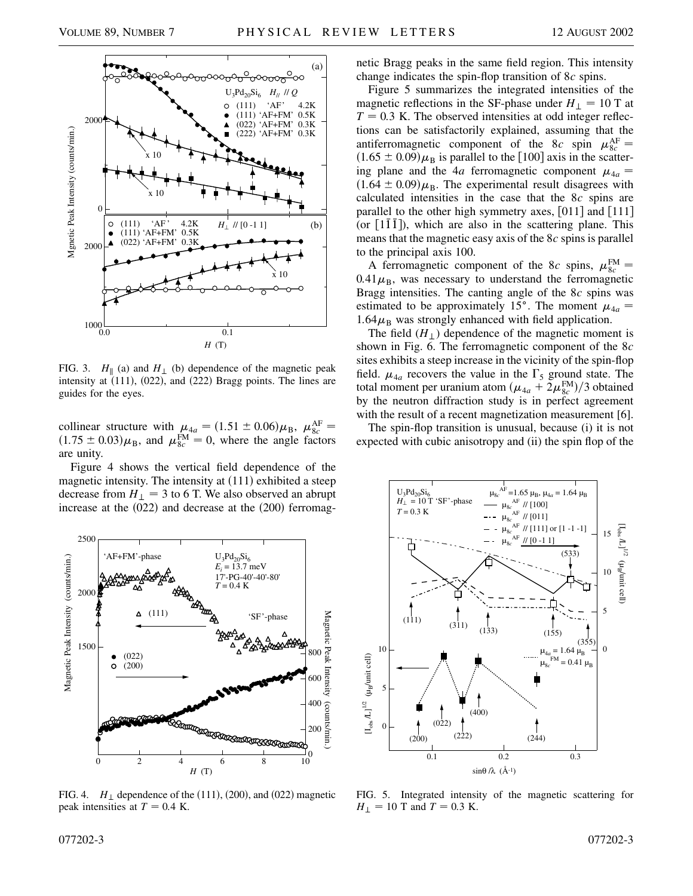

FIG. 3.  $H_{\parallel}$  (a) and  $H_{\perp}$  (b) dependence of the magnetic peak intensity at  $(111)$ ,  $(022)$ , and  $(222)$  Bragg points. The lines are guides for the eyes.

collinear structure with  $\mu_{4a} = (1.51 \pm 0.06)\mu_{B}$ ,  $\mu_{8c}^{\text{AF}} =$  $(1.75 \pm 0.03)\mu_{\rm B}$ , and  $\mu_{8c}^{\rm FM} = 0$ , where the angle factors are unity.

Figure 4 shows the vertical field dependence of the magnetic intensity. The intensity at  $(111)$  exhibited a steep decrease from  $H_{\perp} = 3$  to 6 T. We also observed an abrupt increase at the  $(022)$  and decrease at the  $(200)$  ferromag-



FIG. 4.  $H_{\perp}$  dependence of the (111), (200), and (022) magnetic peak intensities at  $T = 0.4$  K.

netic Bragg peaks in the same field region. This intensity change indicates the spin-flop transition of 8*c* spins.

Figure 5 summarizes the integrated intensities of the magnetic reflections in the SF-phase under  $H_{\perp} = 10$  T at  $T = 0.3$  K. The observed intensities at odd integer reflections can be satisfactorily explained, assuming that the antiferromagnetic component of the 8*c* spin  $\mu_{8c}^{\text{AF}} =$  $(1.65 \pm 0.09)\mu_B$  is parallel to the [100] axis in the scattering plane and the 4*a* ferromagnetic component  $\mu_{4a}$  $(1.64 \pm 0.09)\mu_{\rm B}$ . The experimental result disagrees with calculated intensities in the case that the 8*c* spins are parallel to the other high symmetry axes,  $[011]$  and  $[111]$ (or  $[1\overline{1} \overline{1}]$ ), which are also in the scattering plane. This means that the magnetic easy axis of the 8*c* spins is parallel to the principal axis 100.

A ferromagnetic component of the 8*c* spins,  $\mu_{8c}^{FM}$  =  $0.41 \mu_{\rm B}$ , was necessary to understand the ferromagnetic Bragg intensities. The canting angle of the 8*c* spins was estimated to be approximately 15°. The moment  $\mu_{4a}$  =  $1.64\mu$ <sub>B</sub> was strongly enhanced with field application.

The field  $(H_+)$  dependence of the magnetic moment is shown in Fig. 6. The ferromagnetic component of the 8*c* sites exhibits a steep increase in the vicinity of the spin-flop field.  $\mu_{4a}$  recovers the value in the  $\Gamma_5$  ground state. The total moment per uranium atom  $(\mu_{4a} + 2\mu_{8c}^{FM})/3$  obtained by the neutron diffraction study is in perfect agreement with the result of a recent magnetization measurement [6].

The spin-flop transition is unusual, because (i) it is not expected with cubic anisotropy and (ii) the spin flop of the



FIG. 5. Integrated intensity of the magnetic scattering for  $H_{\perp}$  = 10 T and *T* = 0.3 K.